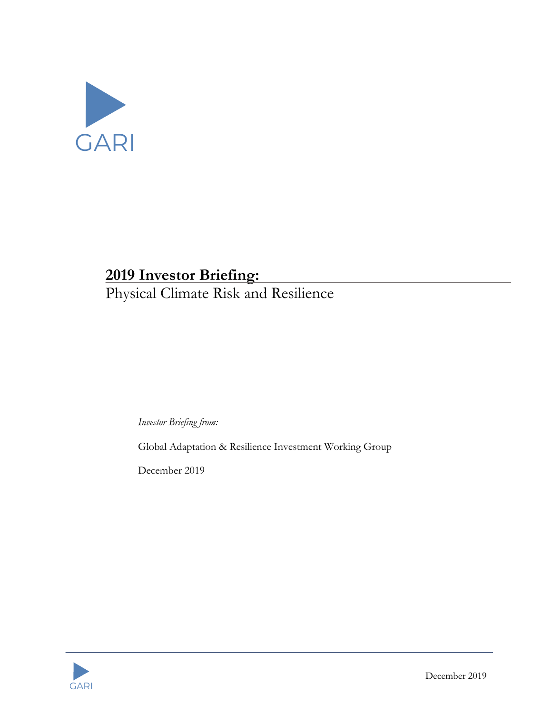

# **2019 Investor Briefing:**

Physical Climate Risk and Resilience

*Investor Briefing from:*

Global Adaptation & Resilience Investment Working Group

December 2019

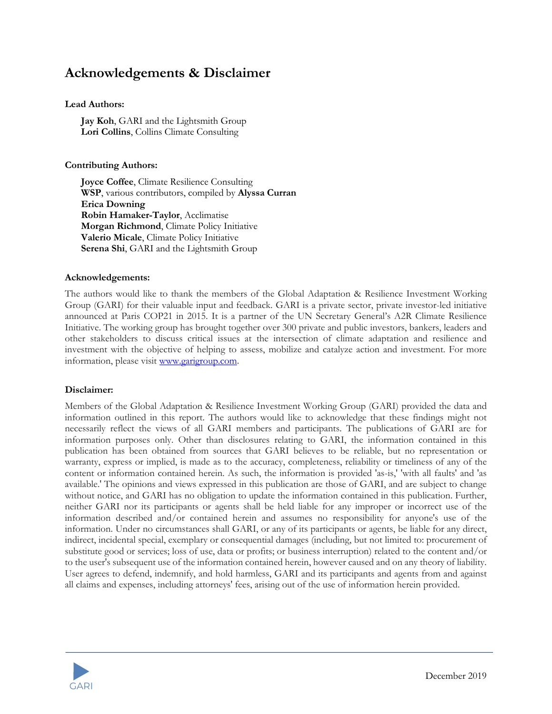## **Acknowledgements & Disclaimer**

#### **Lead Authors:**

**Jay Koh**, GARI and the Lightsmith Group **Lori Collins**, Collins Climate Consulting

#### **Contributing Authors:**

**Joyce Coffee**, Climate Resilience Consulting **WSP**, various contributors, compiled by **Alyssa Curran Erica Downing Robin Hamaker-Taylor**, Acclimatise **Morgan Richmond**, Climate Policy Initiative **Valerio Micale**, Climate Policy Initiative **Serena Shi**, GARI and the Lightsmith Group

#### **Acknowledgements:**

The authors would like to thank the members of the Global Adaptation & Resilience Investment Working Group (GARI) for their valuable input and feedback. GARI is a private sector, private investor-led initiative announced at Paris COP21 in 2015. It is a partner of the UN Secretary General's A2R Climate Resilience Initiative. The working group has brought together over 300 private and public investors, bankers, leaders and other stakeholders to discuss critical issues at the intersection of climate adaptation and resilience and investment with the objective of helping to assess, mobilize and catalyze action and investment. For more information, please visit www.garigroup.com.

### **Disclaimer:**

Members of the Global Adaptation & Resilience Investment Working Group (GARI) provided the data and information outlined in this report. The authors would like to acknowledge that these findings might not necessarily reflect the views of all GARI members and participants. The publications of GARI are for information purposes only. Other than disclosures relating to GARI, the information contained in this publication has been obtained from sources that GARI believes to be reliable, but no representation or warranty, express or implied, is made as to the accuracy, completeness, reliability or timeliness of any of the content or information contained herein. As such, the information is provided 'as-is,' 'with all faults' and 'as available.' The opinions and views expressed in this publication are those of GARI, and are subject to change without notice, and GARI has no obligation to update the information contained in this publication. Further, neither GARI nor its participants or agents shall be held liable for any improper or incorrect use of the information described and/or contained herein and assumes no responsibility for anyone's use of the information. Under no circumstances shall GARI, or any of its participants or agents, be liable for any direct, indirect, incidental special, exemplary or consequential damages (including, but not limited to: procurement of substitute good or services; loss of use, data or profits; or business interruption) related to the content and/or to the user's subsequent use of the information contained herein, however caused and on any theory of liability. User agrees to defend, indemnify, and hold harmless, GARI and its participants and agents from and against all claims and expenses, including attorneys' fees, arising out of the use of information herein provided.

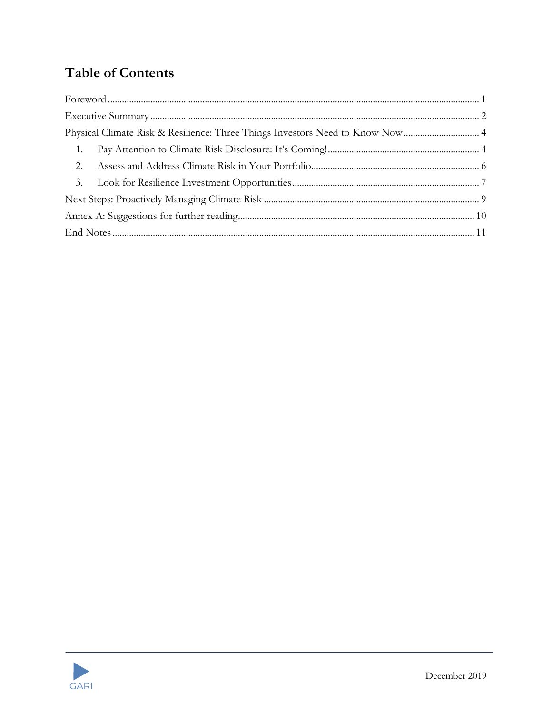## **Table of Contents**

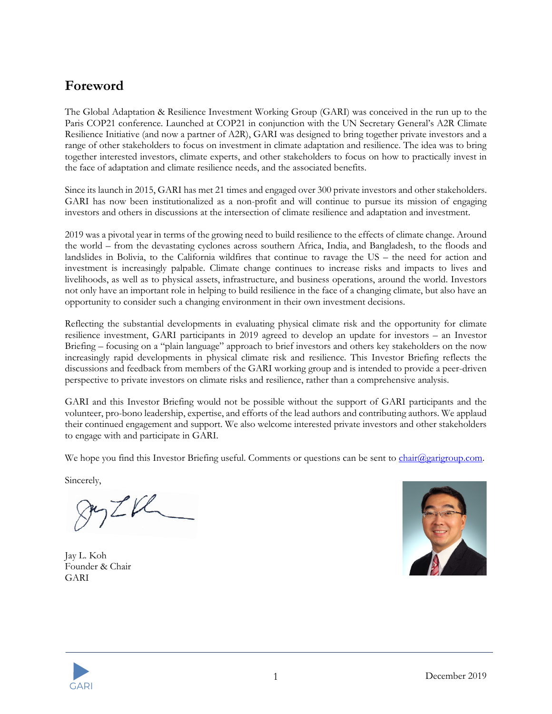## **Foreword**

The Global Adaptation & Resilience Investment Working Group (GARI) was conceived in the run up to the Paris COP21 conference. Launched at COP21 in conjunction with the UN Secretary General's A2R Climate Resilience Initiative (and now a partner of A2R), GARI was designed to bring together private investors and a range of other stakeholders to focus on investment in climate adaptation and resilience. The idea was to bring together interested investors, climate experts, and other stakeholders to focus on how to practically invest in the face of adaptation and climate resilience needs, and the associated benefits.

Since its launch in 2015, GARI has met 21 times and engaged over 300 private investors and other stakeholders. GARI has now been institutionalized as a non-profit and will continue to pursue its mission of engaging investors and others in discussions at the intersection of climate resilience and adaptation and investment.

2019 was a pivotal year in terms of the growing need to build resilience to the effects of climate change. Around the world – from the devastating cyclones across southern Africa, India, and Bangladesh, to the floods and landslides in Bolivia, to the California wildfires that continue to ravage the US – the need for action and investment is increasingly palpable. Climate change continues to increase risks and impacts to lives and livelihoods, as well as to physical assets, infrastructure, and business operations, around the world. Investors not only have an important role in helping to build resilience in the face of a changing climate, but also have an opportunity to consider such a changing environment in their own investment decisions.

Reflecting the substantial developments in evaluating physical climate risk and the opportunity for climate resilience investment, GARI participants in 2019 agreed to develop an update for investors – an Investor Briefing – focusing on a "plain language" approach to brief investors and others key stakeholders on the now increasingly rapid developments in physical climate risk and resilience. This Investor Briefing reflects the discussions and feedback from members of the GARI working group and is intended to provide a peer-driven perspective to private investors on climate risks and resilience, rather than a comprehensive analysis.

GARI and this Investor Briefing would not be possible without the support of GARI participants and the volunteer, pro-bono leadership, expertise, and efforts of the lead authors and contributing authors. We applaud their continued engagement and support. We also welcome interested private investors and other stakeholders to engage with and participate in GARI.

We hope you find this Investor Briefing useful. Comments or questions can be sent to chair@garigroup.com.

Sincerely,

 $ZK$ 

Jay L. Koh Founder & Chair GARI



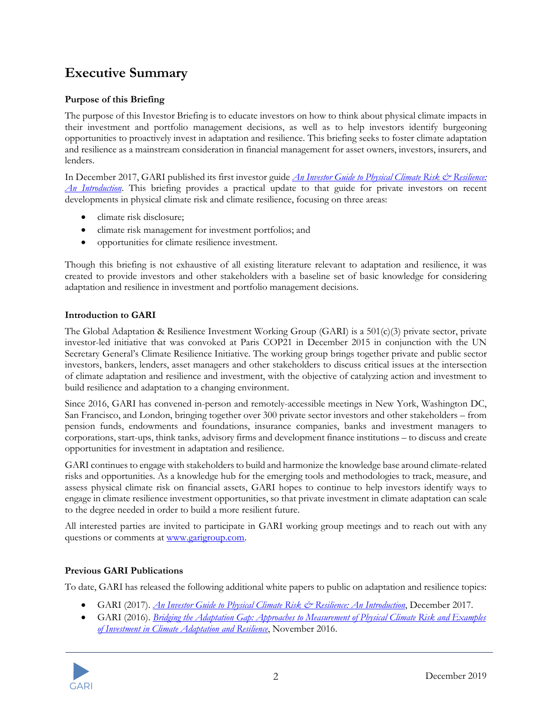## **Executive Summary**

### **Purpose of this Briefing**

The purpose of this Investor Briefing is to educate investors on how to think about physical climate impacts in their investment and portfolio management decisions, as well as to help investors identify burgeoning opportunities to proactively invest in adaptation and resilience. This briefing seeks to foster climate adaptation and resilience as a mainstream consideration in financial management for asset owners, investors, insurers, and lenders.

In December 2017, GARI published its first investor guide *An Investor Guide to Physical Climate Risk & Resilience: An Introduction*. This briefing provides a practical update to that guide for private investors on recent developments in physical climate risk and climate resilience, focusing on three areas:

- climate risk disclosure;
- climate risk management for investment portfolios; and
- opportunities for climate resilience investment.

Though this briefing is not exhaustive of all existing literature relevant to adaptation and resilience, it was created to provide investors and other stakeholders with a baseline set of basic knowledge for considering adaptation and resilience in investment and portfolio management decisions.

### **Introduction to GARI**

The Global Adaptation & Resilience Investment Working Group (GARI) is a 501(c)(3) private sector, private investor-led initiative that was convoked at Paris COP21 in December 2015 in conjunction with the UN Secretary General's Climate Resilience Initiative. The working group brings together private and public sector investors, bankers, lenders, asset managers and other stakeholders to discuss critical issues at the intersection of climate adaptation and resilience and investment, with the objective of catalyzing action and investment to build resilience and adaptation to a changing environment.

Since 2016, GARI has convened in-person and remotely-accessible meetings in New York, Washington DC, San Francisco, and London, bringing together over 300 private sector investors and other stakeholders – from pension funds, endowments and foundations, insurance companies, banks and investment managers to corporations, start-ups, think tanks, advisory firms and development finance institutions – to discuss and create opportunities for investment in adaptation and resilience.

GARI continues to engage with stakeholders to build and harmonize the knowledge base around climate-related risks and opportunities. As a knowledge hub for the emerging tools and methodologies to track, measure, and assess physical climate risk on financial assets, GARI hopes to continue to help investors identify ways to engage in climate resilience investment opportunities, so that private investment in climate adaptation can scale to the degree needed in order to build a more resilient future.

All interested parties are invited to participate in GARI working group meetings and to reach out with any questions or comments at www.garigroup.com.

### **Previous GARI Publications**

To date, GARI has released the following additional white papers to public on adaptation and resilience topics:

- GARI (2017). *An Investor Guide to Physical Climate Risk & Resilience: An Introduction*, December 2017.
- GARI (2016). *Bridging the Adaptation Gap: Approaches to Measurement of Physical Climate Risk and Examples of Investment in Climate Adaptation and Resilience*, November 2016.

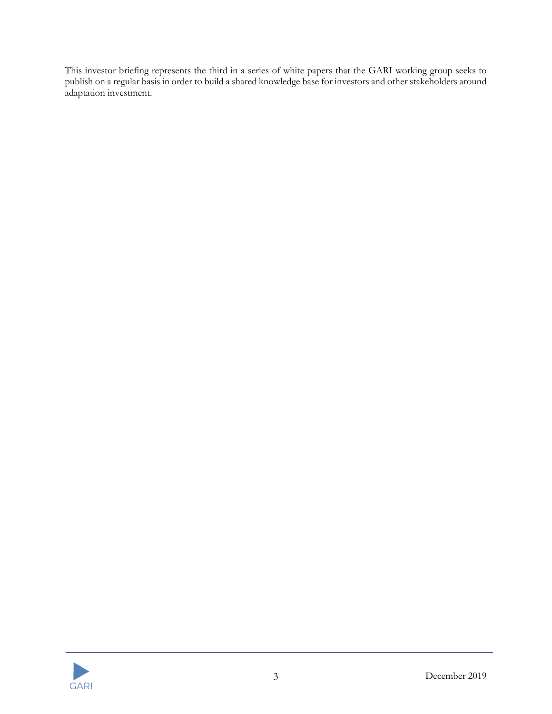This investor briefing represents the third in a series of white papers that the GARI working group seeks to publish on a regular basis in order to build a shared knowledge base for investors and other stakeholders around adaptation investment.

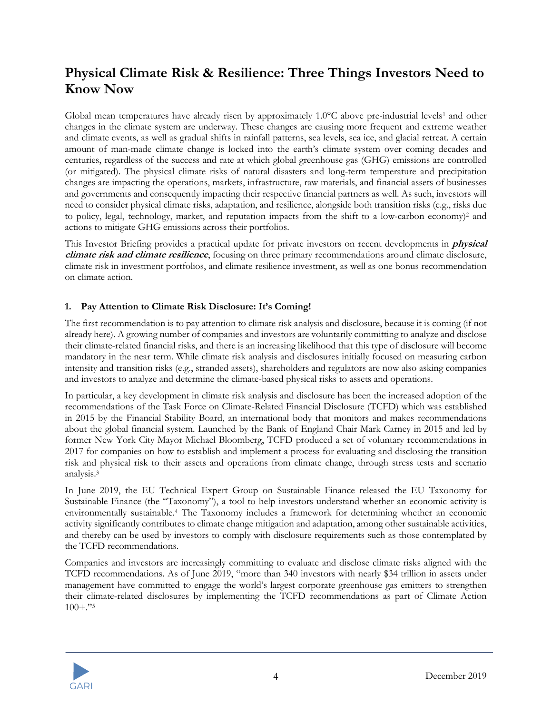## **Physical Climate Risk & Resilience: Three Things Investors Need to Know Now**

Global mean temperatures have already risen by approximately  $1.0^{\circ}$ C above pre-industrial levels<sup>1</sup> and other changes in the climate system are underway. These changes are causing more frequent and extreme weather and climate events, as well as gradual shifts in rainfall patterns, sea levels, sea ice, and glacial retreat. A certain amount of man-made climate change is locked into the earth's climate system over coming decades and centuries, regardless of the success and rate at which global greenhouse gas (GHG) emissions are controlled (or mitigated). The physical climate risks of natural disasters and long-term temperature and precipitation changes are impacting the operations, markets, infrastructure, raw materials, and financial assets of businesses and governments and consequently impacting their respective financial partners as well. As such, investors will need to consider physical climate risks, adaptation, and resilience, alongside both transition risks (e.g., risks due to policy, legal, technology, market, and reputation impacts from the shift to a low-carbon economy)2 and actions to mitigate GHG emissions across their portfolios.

This Investor Briefing provides a practical update for private investors on recent developments in **physical climate risk and climate resilience**, focusing on three primary recommendations around climate disclosure, climate risk in investment portfolios, and climate resilience investment, as well as one bonus recommendation on climate action.

### **1. Pay Attention to Climate Risk Disclosure: It's Coming!**

The first recommendation is to pay attention to climate risk analysis and disclosure, because it is coming (if not already here). A growing number of companies and investors are voluntarily committing to analyze and disclose their climate-related financial risks, and there is an increasing likelihood that this type of disclosure will become mandatory in the near term. While climate risk analysis and disclosures initially focused on measuring carbon intensity and transition risks (e.g., stranded assets), shareholders and regulators are now also asking companies and investors to analyze and determine the climate-based physical risks to assets and operations.

In particular, a key development in climate risk analysis and disclosure has been the increased adoption of the recommendations of the Task Force on Climate-Related Financial Disclosure (TCFD) which was established in 2015 by the Financial Stability Board, an international body that monitors and makes recommendations about the global financial system. Launched by the Bank of England Chair Mark Carney in 2015 and led by former New York City Mayor Michael Bloomberg, TCFD produced a set of voluntary recommendations in 2017 for companies on how to establish and implement a process for evaluating and disclosing the transition risk and physical risk to their assets and operations from climate change, through stress tests and scenario analysis. 3

In June 2019, the EU Technical Expert Group on Sustainable Finance released the EU Taxonomy for Sustainable Finance (the "Taxonomy"), a tool to help investors understand whether an economic activity is environmentally sustainable.4 The Taxonomy includes a framework for determining whether an economic activity significantly contributes to climate change mitigation and adaptation, among other sustainable activities, and thereby can be used by investors to comply with disclosure requirements such as those contemplated by the TCFD recommendations.

Companies and investors are increasingly committing to evaluate and disclose climate risks aligned with the TCFD recommendations. As of June 2019, "more than 340 investors with nearly \$34 trillion in assets under management have committed to engage the world's largest corporate greenhouse gas emitters to strengthen their climate-related disclosures by implementing the TCFD recommendations as part of Climate Action  $100 +$ ."<sup>5</sup>

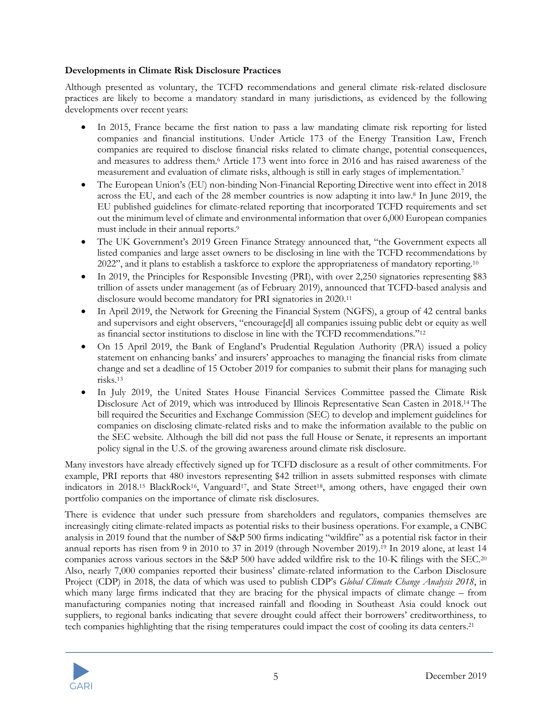#### **Developments in Climate Risk Disclosure Practices**

Although presented as voluntary, the TCFD recommendations and general climate risk-related disclosure practices are likely to become a mandatory standard in many jurisdictions, as evidenced by the following developments over recent years:

- In 2015, France became the first nation to pass a law mandating climate risk reporting for listed companies and financial institutions. Under Article 173 of the Energy Transition Law, French companies are required to disclose financial risks related to climate change, potential consequences, and measures to address them. <sup>6</sup> Article 173 went into force in 2016 and has raised awareness of the measurement and evaluation of climate risks, although is still in early stages of implementation.7
- The European Union's (EU) non-binding Non-Financial Reporting Directive went into effect in 2018 across the EU, and each of the 28 member countries is now adapting it into law.8 In June 2019, the EU published guidelines for climate-related reporting that incorporated TCFD requirements and set out the minimum level of climate and environmental information that over 6,000 European companies must include in their annual reports. 9
- The UK Government's 2019 Green Finance Strategy announced that, "the Government expects all listed companies and large asset owners to be disclosing in line with the TCFD recommendations by 2022", and it plans to establish a taskforce to explore the appropriateness of mandatory reporting.<sup>10</sup>
- In 2019, the Principles for Responsible Investing (PRI), with over 2,250 signatories representing \$83 trillion of assets under management (as of February 2019), announced that TCFD-based analysis and disclosure would become mandatory for PRI signatories in 2020.11
- In April 2019, the Network for Greening the Financial System (NGFS), a group of 42 central banks and supervisors and eight observers, "encourage[d] all companies issuing public debt or equity as well as financial sector institutions to disclose in line with the TCFD recommendations."12
- On 15 April 2019, the Bank of England's Prudential Regulation Authority (PRA) issued a policy statement on enhancing banks' and insurers' approaches to managing the financial risks from climate change and set a deadline of 15 October 2019 for companies to submit their plans for managing such risks.13
- In July 2019, the United States House Financial Services Committee passed the Climate Risk Disclosure Act of 2019, which was introduced by Illinois Representative Sean Casten in 2018.14 The bill required the Securities and Exchange Commission (SEC) to develop and implement guidelines for companies on disclosing climate-related risks and to make the information available to the public on the SEC website. Although the bill did not pass the full House or Senate, it represents an important policy signal in the U.S. of the growing awareness around climate risk disclosure.

Many investors have already effectively signed up for TCFD disclosure as a result of other commitments. For example, PRI reports that 480 investors representing \$42 trillion in assets submitted responses with climate indicators in 2018.15 BlackRock16, Vanguard17, and State Street18, among others, have engaged their own portfolio companies on the importance of climate risk disclosures.

There is evidence that under such pressure from shareholders and regulators, companies themselves are increasingly citing climate-related impacts as potential risks to their business operations. For example, a CNBC analysis in 2019 found that the number of S&P 500 firms indicating "wildfire" as a potential risk factor in their annual reports has risen from 9 in 2010 to 37 in 2019 (through November 2019).19 In 2019 alone, at least 14 companies across various sectors in the S&P 500 have added wildfire risk to the 10-K filings with the SEC.20 Also, nearly 7,000 companies reported their business' climate-related information to the Carbon Disclosure Project (CDP) in 2018, the data of which was used to publish CDP's *Global Climate Change Analysis 2018*, in which many large firms indicated that they are bracing for the physical impacts of climate change – from manufacturing companies noting that increased rainfall and flooding in Southeast Asia could knock out suppliers, to regional banks indicating that severe drought could affect their borrowers' creditworthiness, to tech companies highlighting that the rising temperatures could impact the cost of cooling its data centers.21

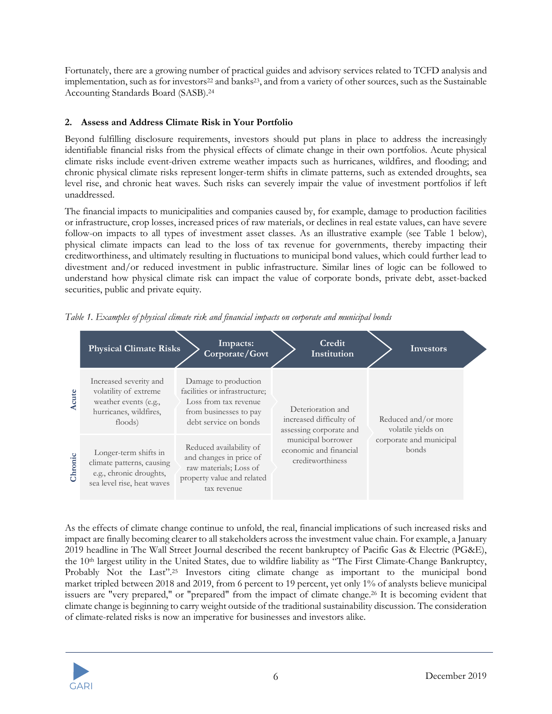Fortunately, there are a growing number of practical guides and advisory services related to TCFD analysis and implementation, such as for investors<sup>22</sup> and banks<sup>23</sup>, and from a variety of other sources, such as the Sustainable Accounting Standards Board (SASB).24

### **2. Assess and Address Climate Risk in Your Portfolio**

Beyond fulfilling disclosure requirements, investors should put plans in place to address the increasingly identifiable financial risks from the physical effects of climate change in their own portfolios. Acute physical climate risks include event-driven extreme weather impacts such as hurricanes, wildfires, and flooding; and chronic physical climate risks represent longer-term shifts in climate patterns, such as extended droughts, sea level rise, and chronic heat waves. Such risks can severely impair the value of investment portfolios if left unaddressed.

The financial impacts to municipalities and companies caused by, for example, damage to production facilities or infrastructure, crop losses, increased prices of raw materials, or declines in real estate values, can have severe follow-on impacts to all types of investment asset classes. As an illustrative example (see Table 1 below), physical climate impacts can lead to the loss of tax revenue for governments, thereby impacting their creditworthiness, and ultimately resulting in fluctuations to municipal bond values, which could further lead to divestment and/or reduced investment in public infrastructure. Similar lines of logic can be followed to understand how physical climate risk can impact the value of corporate bonds, private debt, asset-backed securities, public and private equity.

|         | <b>Physical Climate Risks</b>                                                                                 | Impacts:<br>Corporate/Govt                                                                                                        | Credit<br>Institution                                                   | <b>Investors</b>                          |
|---------|---------------------------------------------------------------------------------------------------------------|-----------------------------------------------------------------------------------------------------------------------------------|-------------------------------------------------------------------------|-------------------------------------------|
| Acute   | Increased severity and<br>volatility of extreme<br>weather events (e.g.,<br>hurricanes, wildfires,<br>floods) | Damage to production<br>facilities or infrastructure;<br>Loss from tax revenue<br>from businesses to pay<br>debt service on bonds | Deterioration and<br>increased difficulty of<br>assessing corporate and | Reduced and/or more<br>volatile yields on |
| Chronic | Longer-term shifts in<br>climate patterns, causing<br>e.g., chronic droughts,<br>sea level rise, heat waves   | Reduced availability of<br>and changes in price of<br>raw materials; Loss of<br>property value and related<br>tax revenue         | municipal borrower<br>economic and financial<br>creditworthiness        | corporate and municipal<br>bonds          |

*Table 1. Examples of physical climate risk and financial impacts on corporate and municipal bonds*

As the effects of climate change continue to unfold, the real, financial implications of such increased risks and impact are finally becoming clearer to all stakeholders across the investment value chain. For example, a January 2019 headline in The Wall Street Journal described the recent bankruptcy of Pacific Gas & Electric (PG&E), the 10th largest utility in the United States, due to wildfire liability as "The First Climate-Change Bankruptcy, Probably Not the Last".<sup>25</sup> Investors citing climate change as important to the municipal bond market tripled between 2018 and 2019, from 6 percent to 19 percent, yet only 1% of analysts believe municipal issuers are "very prepared," or "prepared" from the impact of climate change.26 It is becoming evident that climate change is beginning to carry weight outside of the traditional sustainability discussion. The consideration of climate-related risks is now an imperative for businesses and investors alike.

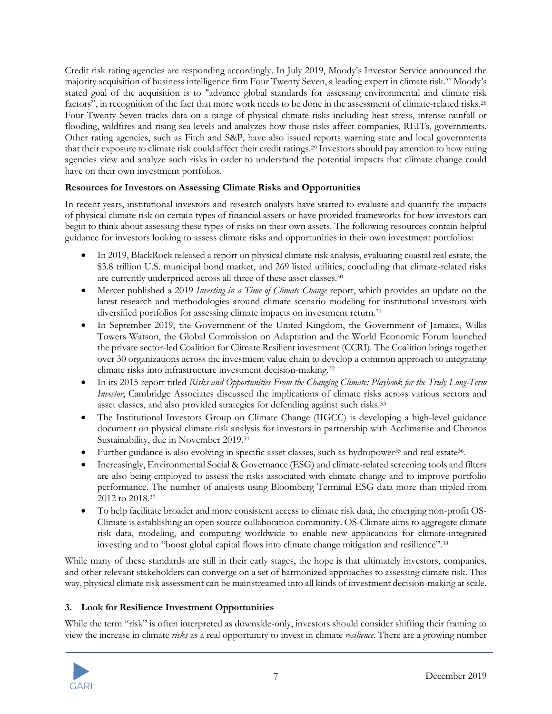Credit risk rating agencies are responding accordingly. In July 2019, Moody's Investor Service announced the majority acquisition of business intelligence firm Four Twenty Seven, a leading expert in climate risk.27 Moody's stated goal of the acquisition is to "advance global standards for assessing environmental and climate risk factors", in recognition of the fact that more work needs to be done in the assessment of climate-related risks.28 Four Twenty Seven tracks data on a range of physical climate risks including heat stress, intense rainfall or flooding, wildfires and rising sea levels and analyzes how those risks affect companies, REITs, governments. Other rating agencies, such as Fitch and S&P, have also issued reports warning state and local governments that their exposure to climate risk could affect their credit ratings.29 Investors should pay attention to how rating agencies view and analyze such risks in order to understand the potential impacts that climate change could have on their own investment portfolios.

### **Resources for Investors on Assessing Climate Risks and Opportunities**

In recent years, institutional investors and research analysts have started to evaluate and quantify the impacts of physical climate risk on certain types of financial assets or have provided frameworks for how investors can begin to think about assessing these types of risks on their own assets. The following resources contain helpful guidance for investors looking to assess climate risks and opportunities in their own investment portfolios:

- In 2019, BlackRock released a report on physical climate risk analysis, evaluating coastal real estate, the \$3.8 trillion U.S. municipal bond market, and 269 listed utilities, concluding that climate-related risks are currently underpriced across all three of these asset classes. 30
- Mercer published a 2019 *Investing in a Time of Climate Change* report, which provides an update on the latest research and methodologies around climate scenario modeling for institutional investors with diversified portfolios for assessing climate impacts on investment return.<sup>31</sup>
- In September 2019, the Government of the United Kingdom, the Government of Jamaica, Willis Towers Watson, the Global Commission on Adaptation and the World Economic Forum launched the private sector-led Coalition for Climate Resilient investment (CCRI). The Coalition brings together over 30 organizations across the investment value chain to develop a common approach to integrating climate risks into infrastructure investment decision-making.32
- In its 2015 report titled *Risks and Opportunities From the Changing Climate: Playbook for the Truly Long-Term Investor*, Cambridge Associates discussed the implications of climate risks across various sectors and asset classes, and also provided strategies for defending against such risks. 33
- The Institutional Investors Group on Climate Change (IIGCC) is developing a high-level guidance document on physical climate risk analysis for investors in partnership with Acclimatise and Chronos Sustainability, due in November 2019. 34
- Further guidance is also evolving in specific asset classes, such as hydropower35 and real estate36.
- Increasingly, Environmental Social & Governance (ESG) and climate-related screening tools and filters are also being employed to assess the risks associated with climate change and to improve portfolio performance. The number of analysts using Bloomberg Terminal ESG data more than tripled from 2012 to 2018.37
- To help facilitate broader and more consistent access to climate risk data, the emerging non-profit OS-Climate is establishing an open source collaboration community. OS-Climate aims to aggregate climate risk data, modeling, and computing worldwide to enable new applications for climate-integrated investing and to "boost global capital flows into climate change mitigation and resilience".38

While many of these standards are still in their early stages, the hope is that ultimately investors, companies, and other relevant stakeholders can converge on a set of harmonized approaches to assessing climate risk. This way, physical climate risk assessment can be mainstreamed into all kinds of investment decision-making at scale.

### **3. Look for Resilience Investment Opportunities**

While the term "risk" is often interpreted as downside-only, investors should consider shifting their framing to view the increase in climate *risks* as a real opportunity to invest in climate *resilience*. There are a growing number

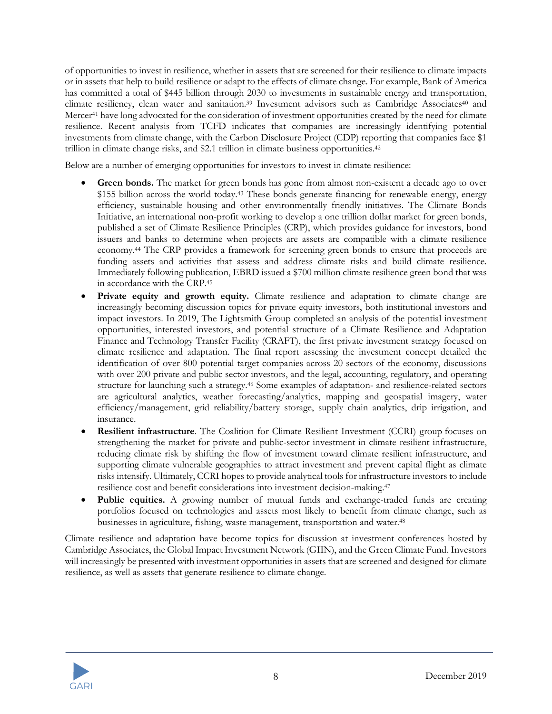of opportunities to invest in resilience, whether in assets that are screened for their resilience to climate impacts or in assets that help to build resilience or adapt to the effects of climate change. For example, Bank of America has committed a total of \$445 billion through 2030 to investments in sustainable energy and transportation, climate resiliency, clean water and sanitation.<sup>39</sup> Investment advisors such as Cambridge Associates<sup>40</sup> and Mercer<sup>41</sup> have long advocated for the consideration of investment opportunities created by the need for climate resilience. Recent analysis from TCFD indicates that companies are increasingly identifying potential investments from climate change, with the Carbon Disclosure Project (CDP) reporting that companies face \$1 trillion in climate change risks, and \$2.1 trillion in climate business opportunities.<sup>42</sup>

Below are a number of emerging opportunities for investors to invest in climate resilience:

- **Green bonds.** The market for green bonds has gone from almost non-existent a decade ago to over \$155 billion across the world today.<sup>43</sup> These bonds generate financing for renewable energy, energy efficiency, sustainable housing and other environmentally friendly initiatives. The Climate Bonds Initiative, an international non-profit working to develop a one trillion dollar market for green bonds, published a set of Climate Resilience Principles (CRP), which provides guidance for investors, bond issuers and banks to determine when projects are assets are compatible with a climate resilience economy.44 The CRP provides a framework for screening green bonds to ensure that proceeds are funding assets and activities that assess and address climate risks and build climate resilience. Immediately following publication, EBRD issued a \$700 million climate resilience green bond that was in accordance with the CRP.45
- **Private equity and growth equity.** Climate resilience and adaptation to climate change are increasingly becoming discussion topics for private equity investors, both institutional investors and impact investors. In 2019, The Lightsmith Group completed an analysis of the potential investment opportunities, interested investors, and potential structure of a Climate Resilience and Adaptation Finance and Technology Transfer Facility (CRAFT), the first private investment strategy focused on climate resilience and adaptation. The final report assessing the investment concept detailed the identification of over 800 potential target companies across 20 sectors of the economy, discussions with over 200 private and public sector investors, and the legal, accounting, regulatory, and operating structure for launching such a strategy.46 Some examples of adaptation- and resilience-related sectors are agricultural analytics, weather forecasting/analytics, mapping and geospatial imagery, water efficiency/management, grid reliability/battery storage, supply chain analytics, drip irrigation, and insurance.
- **Resilient infrastructure**. The Coalition for Climate Resilient Investment (CCRI) group focuses on strengthening the market for private and public-sector investment in climate resilient infrastructure, reducing climate risk by shifting the flow of investment toward climate resilient infrastructure, and supporting climate vulnerable geographies to attract investment and prevent capital flight as climate risks intensify. Ultimately, CCRI hopes to provide analytical tools for infrastructure investors to include resilience cost and benefit considerations into investment decision-making.47
- **Public equities.** A growing number of mutual funds and exchange-traded funds are creating portfolios focused on technologies and assets most likely to benefit from climate change, such as businesses in agriculture, fishing, waste management, transportation and water. 48

Climate resilience and adaptation have become topics for discussion at investment conferences hosted by Cambridge Associates, the Global Impact Investment Network (GIIN), and the Green Climate Fund. Investors will increasingly be presented with investment opportunities in assets that are screened and designed for climate resilience, as well as assets that generate resilience to climate change.

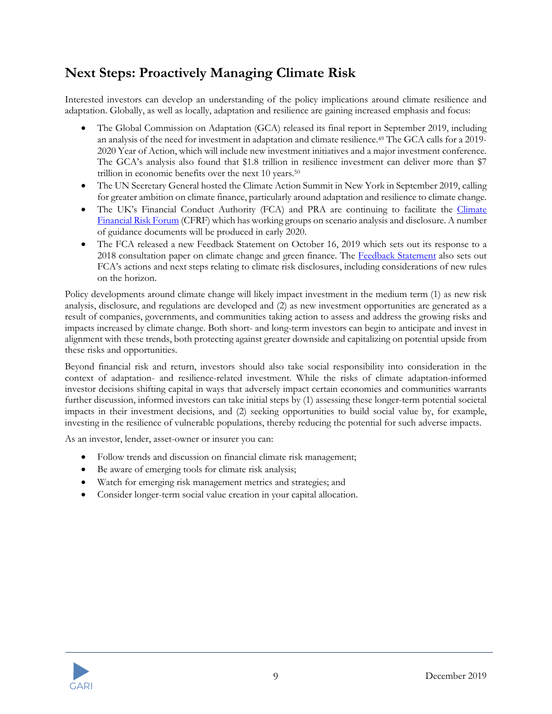## **Next Steps: Proactively Managing Climate Risk**

Interested investors can develop an understanding of the policy implications around climate resilience and adaptation. Globally, as well as locally, adaptation and resilience are gaining increased emphasis and focus:

- The Global Commission on Adaptation (GCA) released its final report in September 2019, including an analysis of the need for investment in adaptation and climate resilience. <sup>49</sup> The GCA calls for a 2019- 2020 Year of Action, which will include new investment initiatives and a major investment conference. The GCA's analysis also found that \$1.8 trillion in resilience investment can deliver more than \$7 trillion in economic benefits over the next 10 years.50
- The UN Secretary General hosted the Climate Action Summit in New York in September 2019, calling for greater ambition on climate finance, particularly around adaptation and resilience to climate change.
- The UK's Financial Conduct Authority (FCA) and PRA are continuing to facilitate the Climate Financial Risk Forum (CFRF) which has working groups on scenario analysis and disclosure. A number of guidance documents will be produced in early 2020.
- The FCA released a new Feedback Statement on October 16, 2019 which sets out its response to a 2018 consultation paper on climate change and green finance. The Feedback Statement also sets out FCA's actions and next steps relating to climate risk disclosures, including considerations of new rules on the horizon.

Policy developments around climate change will likely impact investment in the medium term (1) as new risk analysis, disclosure, and regulations are developed and (2) as new investment opportunities are generated as a result of companies, governments, and communities taking action to assess and address the growing risks and impacts increased by climate change. Both short- and long-term investors can begin to anticipate and invest in alignment with these trends, both protecting against greater downside and capitalizing on potential upside from these risks and opportunities.

Beyond financial risk and return, investors should also take social responsibility into consideration in the context of adaptation- and resilience-related investment. While the risks of climate adaptation-informed investor decisions shifting capital in ways that adversely impact certain economies and communities warrants further discussion, informed investors can take initial steps by (1) assessing these longer-term potential societal impacts in their investment decisions, and (2) seeking opportunities to build social value by, for example, investing in the resilience of vulnerable populations, thereby reducing the potential for such adverse impacts.

As an investor, lender, asset-owner or insurer you can:

- Follow trends and discussion on financial climate risk management;
- Be aware of emerging tools for climate risk analysis;
- Watch for emerging risk management metrics and strategies; and
- Consider longer-term social value creation in your capital allocation.

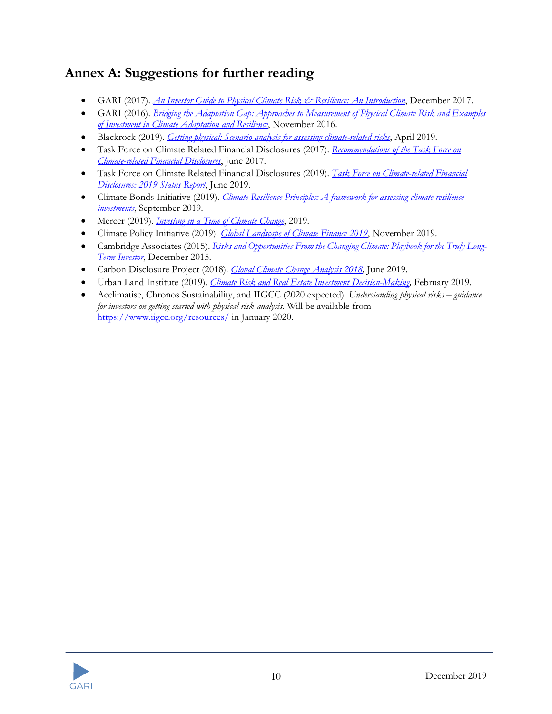## **Annex A: Suggestions for further reading**

- GARI (2017). *An Investor Guide to Physical Climate Risk & Resilience: An Introduction*, December 2017.
- GARI (2016). *Bridging the Adaptation Gap: Approaches to Measurement of Physical Climate Risk and Examples of Investment in Climate Adaptation and Resilience*, November 2016.
- Blackrock (2019). *Getting physical: Scenario analysis for assessing climate-related risks*, April 2019.
- Task Force on Climate Related Financial Disclosures (2017). *Recommendations of the Task Force on Climate-related Financial Disclosures*, June 2017.
- Task Force on Climate Related Financial Disclosures (2019). *Task Force on Climate-related Financial Disclosures: 2019 Status Report*, June 2019.
- Climate Bonds Initiative (2019). *Climate Resilience Principles: A framework for assessing climate resilience investments*, September 2019.
- Mercer (2019). *Investing in a Time of Climate Change*, 2019.
- Climate Policy Initiative (2019). *Global Landscape of Climate Finance 2019*, November 2019.
- Cambridge Associates (2015). *Risks and Opportunities From the Changing Climate: Playbook for the Truly Long-Term Investor*, December 2015.
- Carbon Disclosure Project (2018). *Global Climate Change Analysis 2018,* June 2019.
- Urban Land Institute (2019). *Climate Risk and Real Estate Investment Decision-Making,* February 2019.
- Acclimatise, Chronos Sustainability, and IIGCC (2020 expected). *Understanding physical risks – guidance for investors on getting started with physical risk analysis*. Will be available from https://www.iigcc.org/resources/ in January 2020.

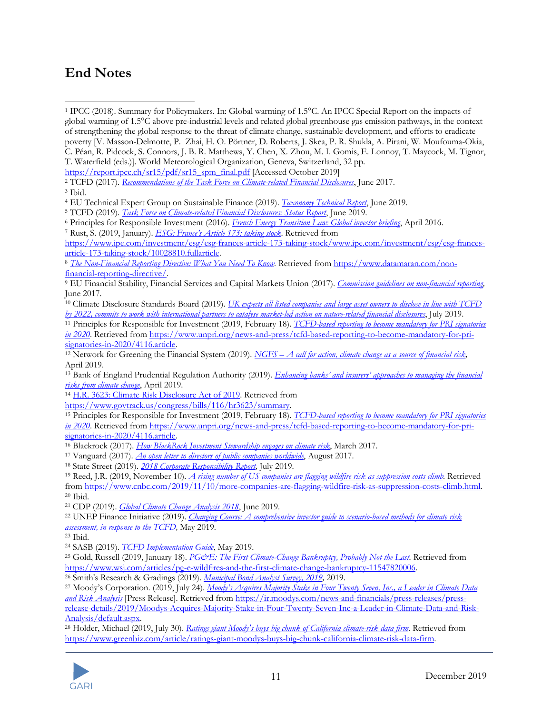## **End Notes**

<sup>&</sup>lt;sup>28</sup> Holder, Michael (2019, July 30). *Ratings giant Moody's buys big chunk of California climate-risk data firm.* Retrieved from https://www.greenbiz.com/article/ratings-giant-moodys-buys-big-chunk-california-climate-risk-data-firm.



<sup>1</sup> IPCC (2018). Summary for Policymakers. In: Global warming of 1.5°C. An IPCC Special Report on the impacts of global warming of 1.5°C above pre-industrial levels and related global greenhouse gas emission pathways, in the context of strengthening the global response to the threat of climate change, sustainable development, and efforts to eradicate poverty [V. Masson-Delmotte, P. Zhai, H. O. Pörtner, D. Roberts, J. Skea, P. R. Shukla, A. Pirani, W. Moufouma-Okia, C. Péan, R. Pidcock, S. Connors, J. B. R. Matthews, Y. Chen, X. Zhou, M. I. Gomis, E. Lonnoy, T. Maycock, M. Tignor,

T. Waterfield (eds.)]. World Meteorological Organization, Geneva, Switzerland, 32 pp.

https://report.ipcc.ch/sr15/pdf/sr15\_spm\_final.pdf [Accessed October 2019]

<sup>&</sup>lt;sup>2</sup> TCFD (2017). *Recommendations of the Task Force on Climate-related Financial Disclosures*, June 2017.<br><sup>3</sup> Ibid.

<sup>4</sup> EU Technical Expert Group on Sustainable Finance (2019). *Taxonomy Technical Report*, June 2019.

<sup>5</sup> TCFD (2019). *Task Force on Climate-related Financial Disclosures: Status Report*, June 2019.

<sup>6</sup> Principles for Responsible Investment (2016). *French Energy Transition Law: Global investor briefing*, April 2016.

<sup>7</sup> Rust, S. (2019, January). *ESG: France's Article 173: taking stock*. Retrieved from

https://www.ipe.com/investment/esg/esg-frances-article-173-taking-stock/www.ipe.com/investment/esg/esg-francesarticle-173-taking-stock/10028810.fullarticle.

<sup>8</sup> *The Non-Financial Reporting Directive: What You Need To Know.* Retrieved from https://www.datamaran.com/nonfinancial-reporting-directive/.

<sup>9</sup> EU Financial Stability, Financial Services and Capital Markets Union (2017). *Commission guidelines on non-financial reporting,*  June 2017*.*

<sup>10</sup> Climate Disclosure Standards Board (2019). *UK expects all listed companies and large asset owners to disclose in line with TCFD by 2022, commits to work with international partners to catalyse market-led action on nature-related financial disclosures*, July 2019.

<sup>11</sup> Principles for Responsible for Investment (2019, February 18). *TCFD-based reporting to become mandatory for PRI signatories in 2020*. Retrieved from https://www.unpri.org/news-and-press/tcfd-based-reporting-to-become-mandatory-for-prisignatories-in-2020/4116.article.

<sup>12</sup> Network for Greening the Financial System (2019). *NGFS – A call for action, climate change as a source of financial risk,* April 2019.

<sup>13</sup> Bank of England Prudential Regulation Authority (2019). *Enhancing banks' and insurers' approaches to managing the financial risks from climate change*, April 2019. 14 H.R. 3623: Climate Risk Disclosure Act of 2019. Retrieved from

https://www.govtrack.us/congress/bills/116/hr3623/summary.

<sup>15</sup> Principles for Responsible for Investment (2019, February 18). *TCFD-based reporting to become mandatory for PRI signatories in 2020*. Retrieved from https://www.unpri.org/news-and-press/tcfd-based-reporting-to-become-mandatory-for-prisignatories-in-2020/4116.article.<br><sup>16</sup> Blackrock (2017). *How BlackRock Investment Stewardship engages on climate risk*, March 2017.

<sup>&</sup>lt;sup>17</sup> Vanguard (2017). *An open letter to directors of public companies worldwide*, August 2017.<br><sup>18</sup> State Street (2019). *2018 Corporate Responsibility Report*, July 2019.

<sup>19</sup> Reed, J.R. (2019, November 10). *A rising number of US companies are flagging wildfire risk as suppression costs climb.* Retrieved from https://www.cnbc.com/2019/11/10/more-companies-are-flagging-wildfire-risk-as-suppression-costs-climb.html. <sup>20</sup> Ibid.

<sup>21</sup> CDP (2019). *Global Climate Change Analysis 2018*, June 2019. 22 UNEP Finance Initiative (2019). *Changing Course: A comprehensive investor guide to scenario-based methods for climate risk assessment, in response to the TCFD,* May 2019. 23 Ibid.

<sup>24</sup> SASB (2019). *TCFD Implementation Guide*, May 2019.

<sup>&</sup>lt;sup>25</sup> Gold, Russell (2019, January 18). *PG&E: The First Climate-Change Bankruptcy, Probably Not the Last.* Retrieved from https://www.wsj.com/articles/pg-e-wildfires-and-the-first-climate-change-bankruptcy-11547820006.

<sup>26</sup> Smith's Research & Gradings (2019). *Municipal Bond Analyst Survey, 2019,* 2019.

<sup>27</sup> Moody's Corporation. (2019, July 24). *Moody's Acquires Majority Stake in Four Twenty Seven, Inc., a Leader in Climate Data and Risk Analysis* [Press Release]. Retrieved from https://ir.moodys.com/news-and-financials/press-releases/pressrelease-details/2019/Moodys-Acquires-Majority-Stake-in-Four-Twenty-Seven-Inc-a-Leader-in-Climate-Data-and-Risk-